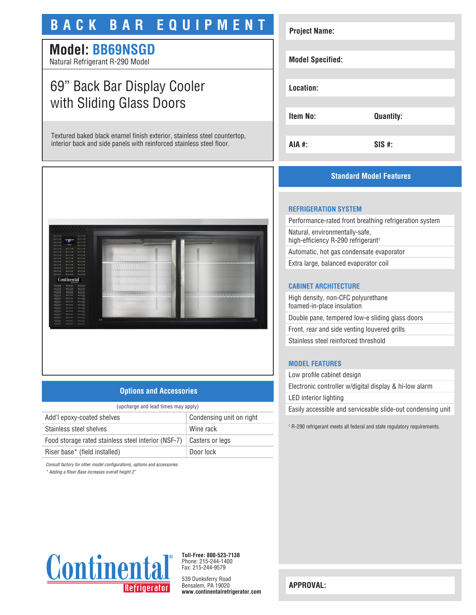# **BACK BAR EQUIPMENT**

# **Model: BB69NSGD**

Natural Refrigerant R-290 Model

# 69" Back Bar Display Cooler with Sliding Glass Doors

Textured baked black enamel finish exterior, stainless steel countertop, interior back and side panels with reinforced stainless steel floor.



## **Options and Accessories**

| (upcharge and lead times may apply) |  |  |
|-------------------------------------|--|--|
| Condensing unit on right            |  |  |
| Wine rack                           |  |  |
| Casters or legs                     |  |  |
| Door lock                           |  |  |
|                                     |  |  |

*Consult factory for other model configurations, options and accessories.*

*\* Adding a Riser Base increases overall height 2"*

# **Project Name: Model Specified: Location: Item No: Quantity: AIA #: SIS #:**

# **Standard Model Features**

### **REFRIGERATION SYSTEM**

Performance-rated front breathing refrigeration system Natural, environmentally-safe, high-efficiency R-290 refrigerant<sup>1</sup> Automatic, hot gas condensate evaporator

Extra large, balanced evaporator coil

## **CABINET ARCHITECTURE**

High density, non-CFC polyurethane foamed-in-place insulation Double pane, tempered low-e sliding glass doors Front, rear and side venting louvered grills Stainless steel reinforced threshold

## **MODEL FEATURES**

Low profile cabinet design Electronic controller w/digital display & hi-low alarm LED interior lighting Easily accessible and serviceable slide-out condensing unit

1 R-290 refrigerant meets all federal and state regulatory requirements.



**Toll-Free: 800-523-7138** Phone: 215-244-1400 Fax: 215-244-9579

539 Dunksferry Road Bensalem, PA 19020 **www.continentalrefrigerator.com** 

**APPROVAL:**